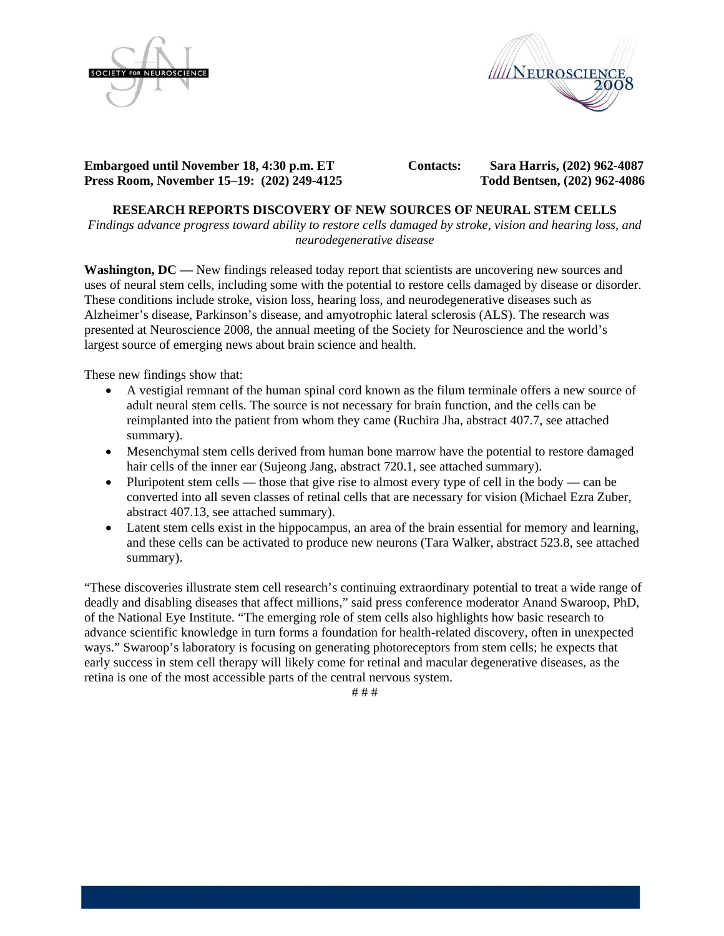



**Embargoed until November 18, 4:30 p.m. ET Press Roo om, Novemb er 15–19: (2 202) 249-4125** **Contacts:** 

 **Sara Har rris, (202) 962 2-4087 Todd Bents sen, (202) 96 2-4086** 

# **RES SEARCH RE EPORTS DIS SCOVERY O 5OF NEW SO OURCES OF NEURAL S TEM CELL LS**

Findings advance progress toward ability to restore cells damaged by stroke, vision and hearing loss, and *neurodeg generative di isease* 

Washington, DC — New findings released today report that scientists are uncovering new sources and uses of neural stem cells, including some with the potential to restore cells damaged by disease or disorder. These conditions include stroke, vision loss, hearing loss, and neurodegenerative diseases such as Alzheimer's disease, Parkinson's disease, and amyotrophic lateral sclerosis (ALS). The research was presented at Neuroscience 2008, the annual meeting of the Society for Neuroscience and the world's largest source of emerging news about brain science and health. Internal School School and a metal scheme and schemes (ALS). The research was<br>
ented at Neuroscience 2008, the annual meeting of the Society for Neuroscience and the world's<br>
est source of emerging news about brain science

These new findings show that:

- adult neural stem cells. The source is not necessary for brain function, and the cells can be reimplanted into the patient from whom they came (Ruchira Jha, abstract 407.7, see attached summary). reimplanted into the patient from whom they came (Ruchira Jha, abstract 407.7, see attached<br>summary).<br>• Mesenchymal stem cells derived from human bone marrow have the potential to restore damaged
- hair cells of the inner ear (Sujeong Jang, abstract 720.1, see attached summary).
- hair cells of the inner ear (Sujeong Jang, abstract 720.1, see attached summary).<br>● Pluripotent stem cells those that give rise to almost every type of cell in the body can be converted into all seven classes of retinal cells that are necessary for vision (Michael Ezra Zuber, abstract 407.13, see attached summary).
- $\bullet$ and these cells can be activated to produce new neurons (Tara Walker, abstract 523.8, see attached summary). atent stem cells exist in the hippocampus, an area of the brain essential for memory and learning,

"These discoveries illustrate stem cell research's continuing extraordinary potential to treat a wide range of deadly and disabling diseases that affect millions," said press conference moderator Anand Swaroop, PhD, of the National Eye Institute. "The emerging role of stem cells also highlights how basic research to advance scientific knowledge in turn forms a foundation for health-related discovery, often in unexpected ways." Swaroop's laboratory is focusing on generating photoreceptors from stem cells; he expects that early success in stem cell therapy will likely come for retinal and macular degenerative diseases, as the retina is one of the most accessible parts of the central nervous system.

# # #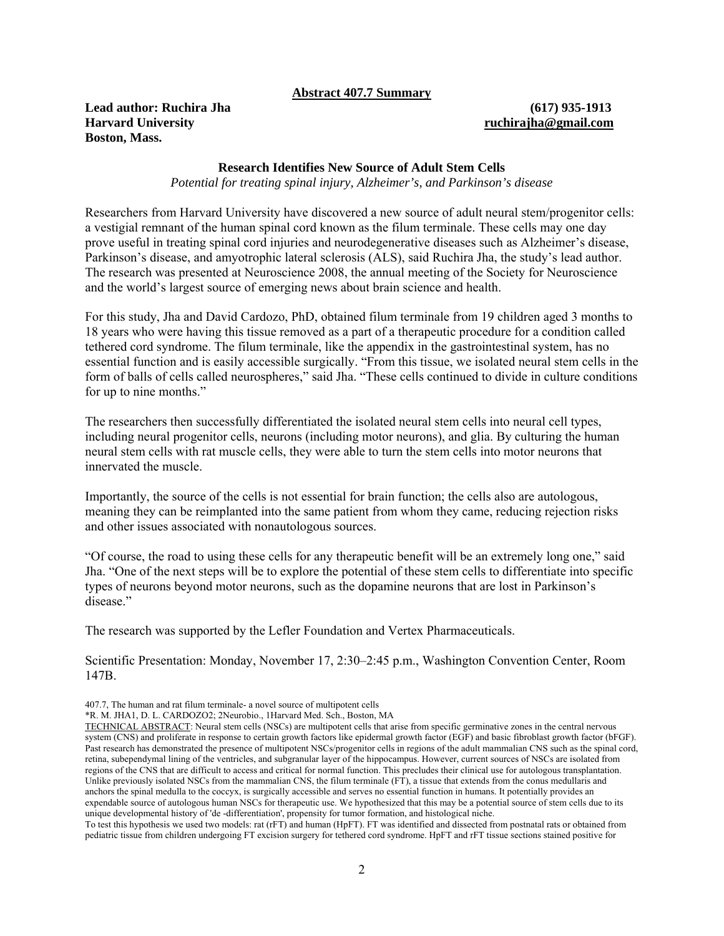## **Abstract 407.7 Summary**

**Lead author: Ruchira Jha (617) 935-1913 Harvard University ruchirajha@gmail.com Boston, Mass.** 

## **Research Identifies New Source of Adult Stem Cells**

*Potential for treating spinal injury, Alzheimer's, and Parkinson's disease* 

Researchers from Harvard University have discovered a new source of adult neural stem/progenitor cells: a vestigial remnant of the human spinal cord known as the filum terminale. These cells may one day prove useful in treating spinal cord injuries and neurodegenerative diseases such as Alzheimer's disease, Parkinson's disease, and amyotrophic lateral sclerosis (ALS), said Ruchira Jha, the study's lead author. The research was presented at Neuroscience 2008, the annual meeting of the Society for Neuroscience and the world's largest source of emerging news about brain science and health.

For this study, Jha and David Cardozo, PhD, obtained filum terminale from 19 children aged 3 months to 18 years who were having this tissue removed as a part of a therapeutic procedure for a condition called tethered cord syndrome. The filum terminale, like the appendix in the gastrointestinal system, has no essential function and is easily accessible surgically. "From this tissue, we isolated neural stem cells in the form of balls of cells called neurospheres," said Jha. "These cells continued to divide in culture conditions for up to nine months."

The researchers then successfully differentiated the isolated neural stem cells into neural cell types, including neural progenitor cells, neurons (including motor neurons), and glia. By culturing the human neural stem cells with rat muscle cells, they were able to turn the stem cells into motor neurons that innervated the muscle.

Importantly, the source of the cells is not essential for brain function; the cells also are autologous, meaning they can be reimplanted into the same patient from whom they came, reducing rejection risks and other issues associated with nonautologous sources.

"Of course, the road to using these cells for any therapeutic benefit will be an extremely long one," said Jha. "One of the next steps will be to explore the potential of these stem cells to differentiate into specific types of neurons beyond motor neurons, such as the dopamine neurons that are lost in Parkinson's disease."

The research was supported by the Lefler Foundation and Vertex Pharmaceuticals.

Scientific Presentation: Monday, November 17, 2:30–2:45 p.m., Washington Convention Center, Room 147B.

To test this hypothesis we used two models: rat (rFT) and human (HpFT). FT was identified and dissected from postnatal rats or obtained from pediatric tissue from children undergoing FT excision surgery for tethered cord syndrome. HpFT and rFT tissue sections stained positive for

<sup>407.7,</sup> The human and rat filum terminale- a novel source of multipotent cells

<sup>\*</sup>R. M. JHA1, D. L. CARDOZO2; 2Neurobio., 1Harvard Med. Sch., Boston, MA

TECHNICAL ABSTRACT: Neural stem cells (NSCs) are multipotent cells that arise from specific germinative zones in the central nervous system (CNS) and proliferate in response to certain growth factors like epidermal growth factor (EGF) and basic fibroblast growth factor (bFGF). Past research has demonstrated the presence of multipotent NSCs/progenitor cells in regions of the adult mammalian CNS such as the spinal cord, retina, subependymal lining of the ventricles, and subgranular layer of the hippocampus. However, current sources of NSCs are isolated from regions of the CNS that are difficult to access and critical for normal function. This precludes their clinical use for autologous transplantation. Unlike previously isolated NSCs from the mammalian CNS, the filum terminale (FT), a tissue that extends from the conus medullaris and anchors the spinal medulla to the coccyx, is surgically accessible and serves no essential function in humans. It potentially provides an expendable source of autologous human NSCs for therapeutic use. We hypothesized that this may be a potential source of stem cells due to its unique developmental history of 'de -differentiation', propensity for tumor formation, and histological niche.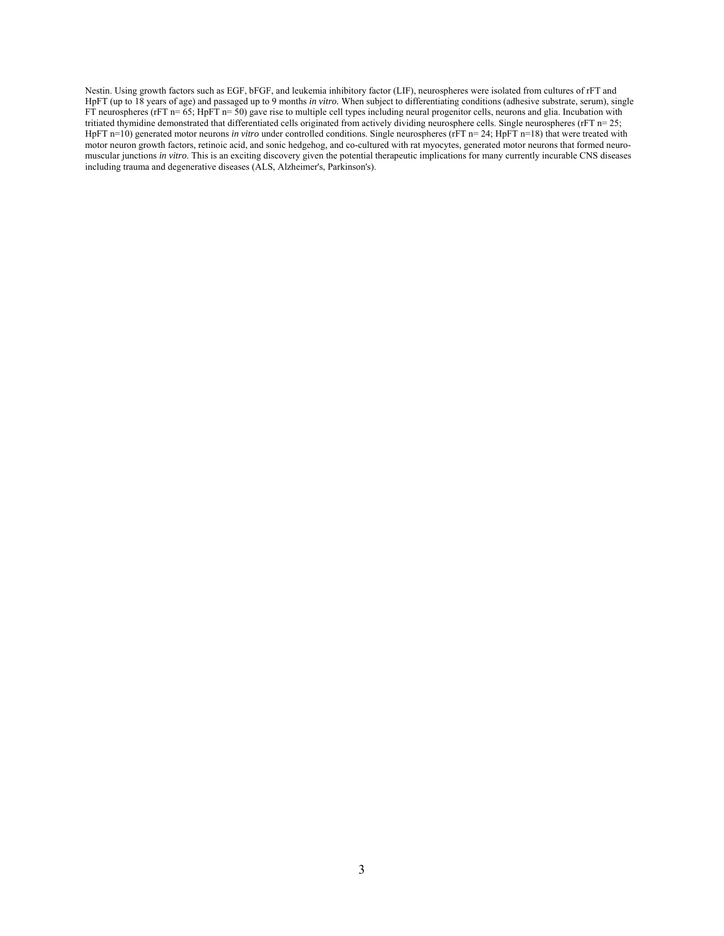Nestin. Using growth factors such as EGF, bFGF, and leukemia inhibitory factor (LIF), neurospheres were isolated from cultures of rFT and HpFT (up to 18 years of age) and passaged up to 9 months *in vitro.* When subject to differentiating conditions (adhesive substrate, serum), single FT neurospheres (rFT n= 65; HpFT n= 50) gave rise to multiple cell types including neural progenitor cells, neurons and glia. Incubation with tritiated thymidine demonstrated that differentiated cells originated from actively dividing neurosphere cells. Single neurospheres (rFT n= 25; HpFT n=10) generated motor neurons *in vitro* under controlled conditions. Single neurospheres (rFT n=24; HpFT n=18) that were treated with motor neuron growth factors, retinoic acid, and sonic hedgehog, and co-cultured with rat myocytes, generated motor neurons that formed neuromuscular junctions *in vitro*. This is an exciting discovery given the potential therapeutic implications for many currently incurable CNS diseases including trauma and degenerative diseases (ALS, Alzheimer's, Parkinson's).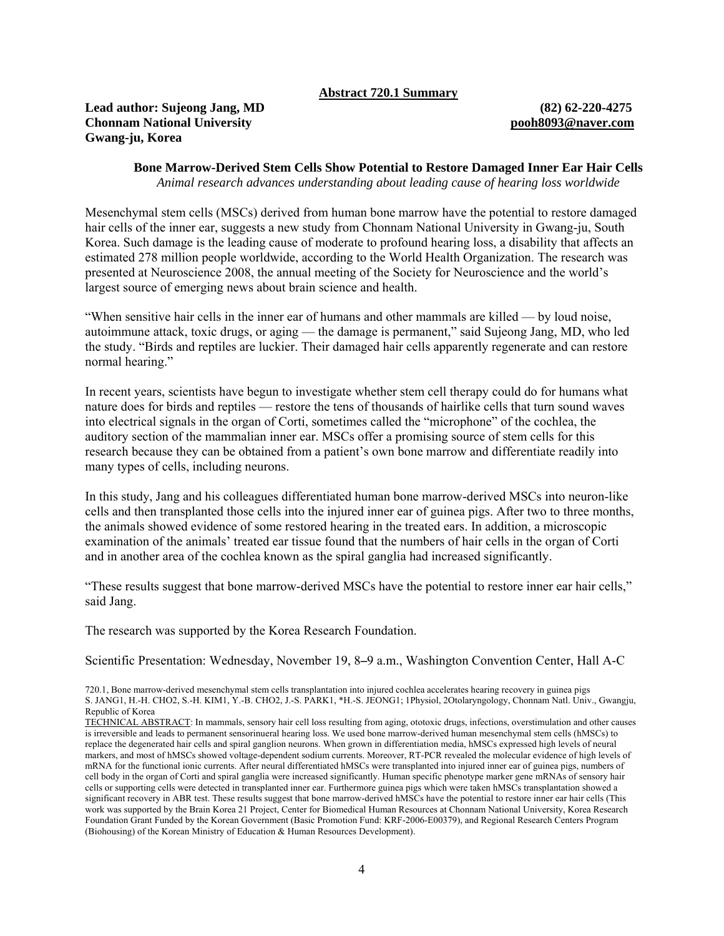## **Abstract 720.1 Summary**

## **Lead author: Sujeong Jang, MD (82) 62-220-4275 Chonnam National University pooh8093@naver.com Gwang-ju, Korea**

**Bone Marrow-Derived Stem Cells Show Potential to Restore Damaged Inner Ear Hair Cells**  *Animal research advances understanding about leading cause of hearing loss worldwide*

Mesenchymal stem cells (MSCs) derived from human bone marrow have the potential to restore damaged hair cells of the inner ear, suggests a new study from Chonnam National University in Gwang-ju, South Korea. Such damage is the leading cause of moderate to profound hearing loss, a disability that affects an estimated 278 million people worldwide, according to the World Health Organization. The research was presented at Neuroscience 2008, the annual meeting of the Society for Neuroscience and the world's largest source of emerging news about brain science and health.

"When sensitive hair cells in the inner ear of humans and other mammals are killed — by loud noise, autoimmune attack, toxic drugs, or aging — the damage is permanent," said Sujeong Jang, MD, who led the study. "Birds and reptiles are luckier. Their damaged hair cells apparently regenerate and can restore normal hearing."

In recent years, scientists have begun to investigate whether stem cell therapy could do for humans what nature does for birds and reptiles — restore the tens of thousands of hairlike cells that turn sound waves into electrical signals in the organ of Corti, sometimes called the "microphone" of the cochlea, the auditory section of the mammalian inner ear. MSCs offer a promising source of stem cells for this research because they can be obtained from a patient's own bone marrow and differentiate readily into many types of cells, including neurons.

In this study, Jang and his colleagues differentiated human bone marrow-derived MSCs into neuron-like cells and then transplanted those cells into the injured inner ear of guinea pigs. After two to three months, the animals showed evidence of some restored hearing in the treated ears. In addition, a microscopic examination of the animals' treated ear tissue found that the numbers of hair cells in the organ of Corti and in another area of the cochlea known as the spiral ganglia had increased significantly.

"These results suggest that bone marrow-derived MSCs have the potential to restore inner ear hair cells," said Jang.

The research was supported by the Korea Research Foundation.

Scientific Presentation: Wednesday, November 19, 8**–**9 a.m., Washington Convention Center, Hall A-C

<sup>720.1,</sup> Bone marrow-derived mesenchymal stem cells transplantation into injured cochlea accelerates hearing recovery in guinea pigs S. JANG1, H.-H. CHO2, S.-H. KIM1, Y.-B. CHO2, J.-S. PARK1, \*H.-S. JEONG1; 1Physiol, 2Otolaryngology, Chonnam Natl. Univ., Gwangju, Republic of Korea

TECHNICAL ABSTRACT: In mammals, sensory hair cell loss resulting from aging, ototoxic drugs, infections, overstimulation and other causes is irreversible and leads to permanent sensorinueral hearing loss. We used bone marrow-derived human mesenchymal stem cells (hMSCs) to replace the degenerated hair cells and spiral ganglion neurons. When grown in differentiation media, hMSCs expressed high levels of neural markers, and most of hMSCs showed voltage-dependent sodium currents. Moreover, RT-PCR revealed the molecular evidence of high levels of mRNA for the functional ionic currents. After neural differentiated hMSCs were transplanted into injured inner ear of guinea pigs, numbers of cell body in the organ of Corti and spiral ganglia were increased significantly. Human specific phenotype marker gene mRNAs of sensory hair cells or supporting cells were detected in transplanted inner ear. Furthermore guinea pigs which were taken hMSCs transplantation showed a significant recovery in ABR test. These results suggest that bone marrow-derived hMSCs have the potential to restore inner ear hair cells (This work was supported by the Brain Korea 21 Project, Center for Biomedical Human Resources at Chonnam National University, Korea Research Foundation Grant Funded by the Korean Government (Basic Promotion Fund: KRF-2006-E00379), and Regional Research Centers Program (Biohousing) of the Korean Ministry of Education & Human Resources Development).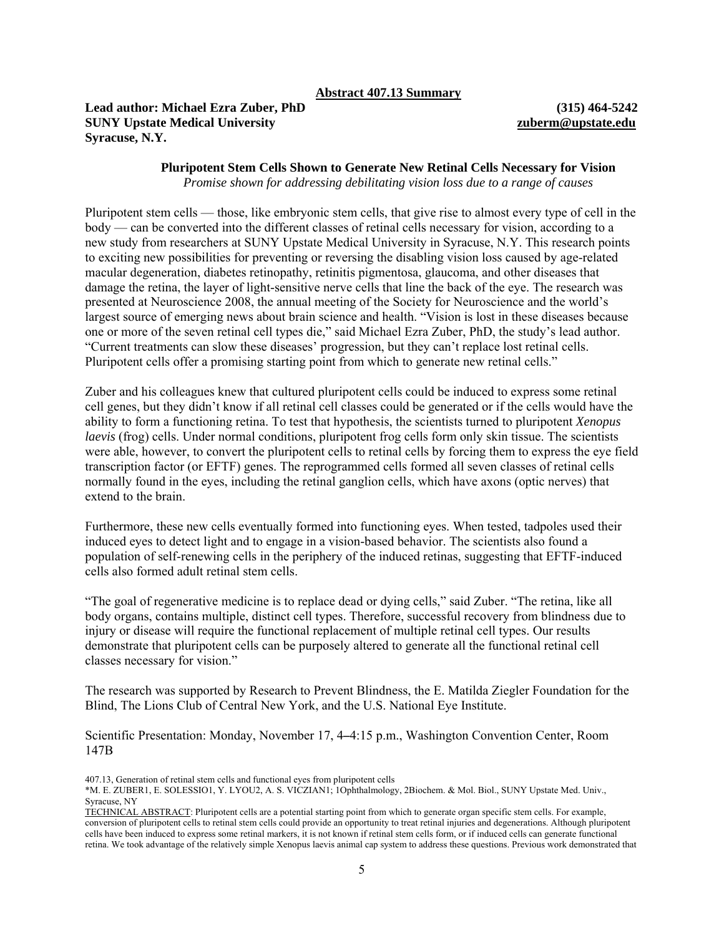**Lead author: Michael Ezra Zuber, PhD (315) 464-5242 SUNY Upstate Medical University zuberm@upstate.edu Syracuse, N.Y.** 

## **Pluripotent Stem Cells Shown to Generate New Retinal Cells Necessary for Vision**  *Promise shown for addressing debilitating vision loss due to a range of causes*

Pluripotent stem cells — those, like embryonic stem cells, that give rise to almost every type of cell in the body — can be converted into the different classes of retinal cells necessary for vision, according to a new study from researchers at SUNY Upstate Medical University in Syracuse, N.Y. This research points to exciting new possibilities for preventing or reversing the disabling vision loss caused by age-related macular degeneration, diabetes retinopathy, retinitis pigmentosa, glaucoma, and other diseases that damage the retina, the layer of light-sensitive nerve cells that line the back of the eye. The research was presented at Neuroscience 2008, the annual meeting of the Society for Neuroscience and the world's largest source of emerging news about brain science and health. "Vision is lost in these diseases because one or more of the seven retinal cell types die," said Michael Ezra Zuber, PhD, the study's lead author. "Current treatments can slow these diseases' progression, but they can't replace lost retinal cells. Pluripotent cells offer a promising starting point from which to generate new retinal cells."

Zuber and his colleagues knew that cultured pluripotent cells could be induced to express some retinal cell genes, but they didn't know if all retinal cell classes could be generated or if the cells would have the ability to form a functioning retina. To test that hypothesis, the scientists turned to pluripotent *Xenopus laevis* (frog) cells. Under normal conditions, pluripotent frog cells form only skin tissue. The scientists were able, however, to convert the pluripotent cells to retinal cells by forcing them to express the eye field transcription factor (or EFTF) genes. The reprogrammed cells formed all seven classes of retinal cells normally found in the eyes, including the retinal ganglion cells, which have axons (optic nerves) that extend to the brain.

Furthermore, these new cells eventually formed into functioning eyes. When tested, tadpoles used their induced eyes to detect light and to engage in a vision-based behavior. The scientists also found a population of self-renewing cells in the periphery of the induced retinas, suggesting that EFTF-induced cells also formed adult retinal stem cells.

"The goal of regenerative medicine is to replace dead or dying cells," said Zuber. "The retina, like all body organs, contains multiple, distinct cell types. Therefore, successful recovery from blindness due to injury or disease will require the functional replacement of multiple retinal cell types. Our results demonstrate that pluripotent cells can be purposely altered to generate all the functional retinal cell classes necessary for vision."

The research was supported by Research to Prevent Blindness, the E. Matilda Ziegler Foundation for the Blind, The Lions Club of Central New York, and the U.S. National Eye Institute.

Scientific Presentation: Monday, November 17, 4**–**4:15 p.m., Washington Convention Center, Room 147B

407.13, Generation of retinal stem cells and functional eyes from pluripotent cells

<sup>\*</sup>M. E. ZUBER1, E. SOLESSIO1, Y. LYOU2, A. S. VICZIAN1; 1Ophthalmology, 2Biochem. & Mol. Biol., SUNY Upstate Med. Univ., Syracuse, NY

TECHNICAL ABSTRACT: Pluripotent cells are a potential starting point from which to generate organ specific stem cells. For example, conversion of pluripotent cells to retinal stem cells could provide an opportunity to treat retinal injuries and degenerations. Although pluripotent cells have been induced to express some retinal markers, it is not known if retinal stem cells form, or if induced cells can generate functional retina. We took advantage of the relatively simple Xenopus laevis animal cap system to address these questions. Previous work demonstrated that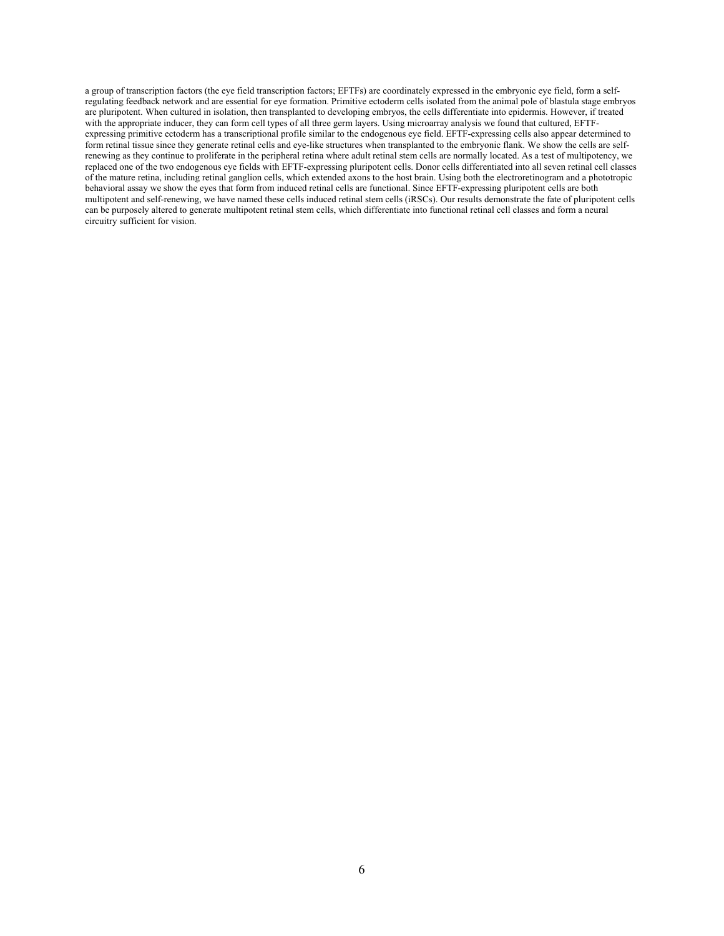a group of transcription factors (the eye field transcription factors; EFTFs) are coordinately expressed in the embryonic eye field, form a selfregulating feedback network and are essential for eye formation. Primitive ectoderm cells isolated from the animal pole of blastula stage embryos are pluripotent. When cultured in isolation, then transplanted to developing embryos, the cells differentiate into epidermis. However, if treated with the appropriate inducer, they can form cell types of all three germ layers. Using microarray analysis we found that cultured, EFTFexpressing primitive ectoderm has a transcriptional profile similar to the endogenous eye field. EFTF-expressing cells also appear determined to form retinal tissue since they generate retinal cells and eye-like structures when transplanted to the embryonic flank. We show the cells are selfrenewing as they continue to proliferate in the peripheral retina where adult retinal stem cells are normally located. As a test of multipotency, we replaced one of the two endogenous eye fields with EFTF-expressing pluripotent cells. Donor cells differentiated into all seven retinal cell classes of the mature retina, including retinal ganglion cells, which extended axons to the host brain. Using both the electroretinogram and a phototropic behavioral assay we show the eyes that form from induced retinal cells are functional. Since EFTF-expressing pluripotent cells are both multipotent and self-renewing, we have named these cells induced retinal stem cells (iRSCs). Our results demonstrate the fate of pluripotent cells can be purposely altered to generate multipotent retinal stem cells, which differentiate into functional retinal cell classes and form a neural circuitry sufficient for vision.